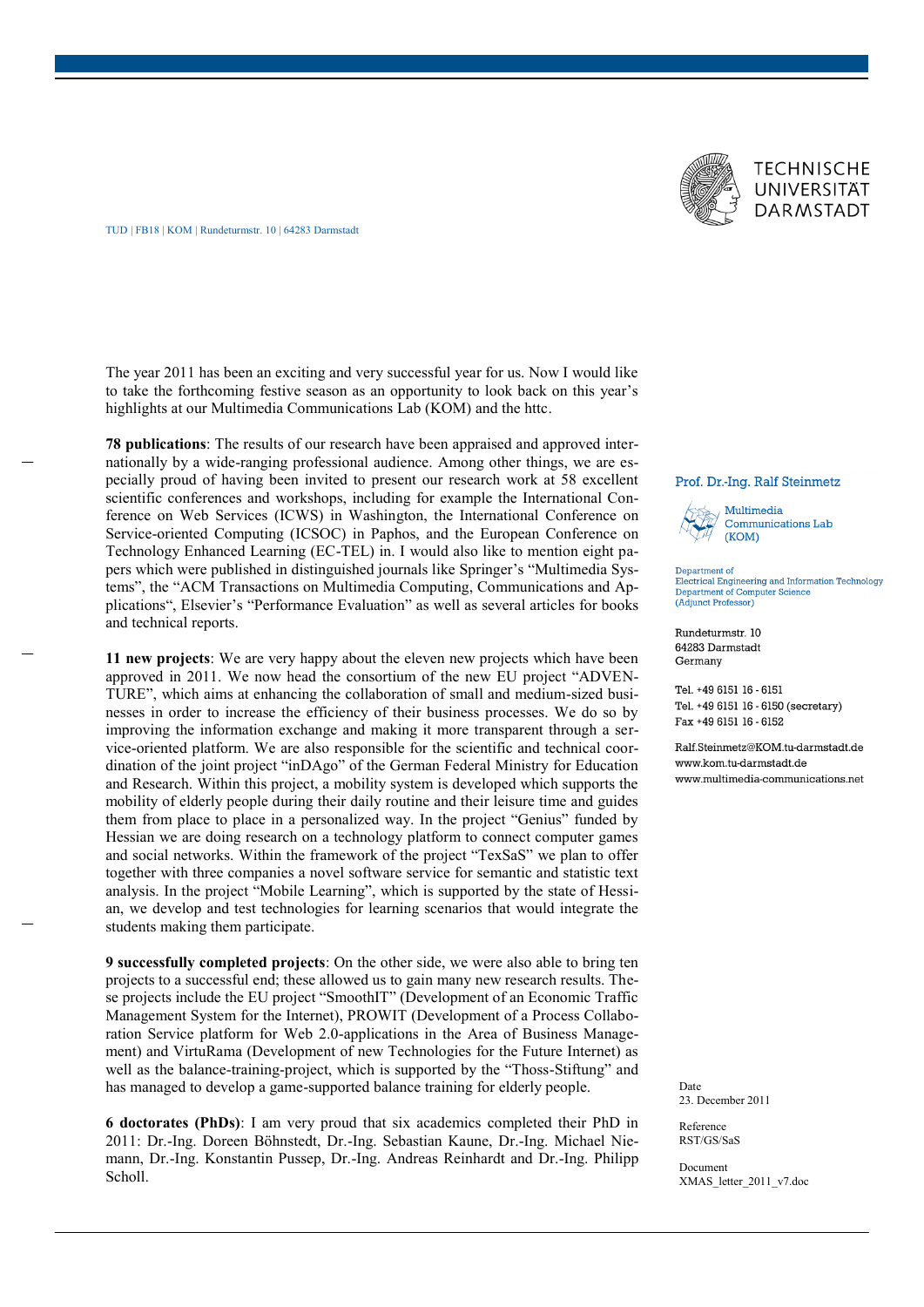

TUD | FB18 | KOM | Rundeturmstr. 10 | 64283 Darmstadt

The year 2011 has been an exciting and very successful year for us. Now I would like to take the forthcoming festive season as an opportunity to look back on this year's highlights at our Multimedia Communications Lab (KOM) and the httc.

**78 publications**: The results of our research have been appraised and approved internationally by a wide-ranging professional audience. Among other things, we are especially proud of having been invited to present our research work at 58 excellent scientific conferences and workshops, including for example the International Conference on Web Services (ICWS) in Washington, the International Conference on Service-oriented Computing (ICSOC) in Paphos, and the European Conference on Technology Enhanced Learning (EC-TEL) in. I would also like to mention eight papers which were published in distinguished journals like Springer's "Multimedia Systems", the "ACM Transactions on Multimedia Computing, Communications and Applications", Elsevier's "Performance Evaluation" as well as several articles for books and technical reports.

**11 new projects**: We are very happy about the eleven new projects which have been approved in 2011. We now head the consortium of the new EU project "ADVEN-TURE", which aims at enhancing the collaboration of small and medium-sized businesses in order to increase the efficiency of their business processes. We do so by improving the information exchange and making it more transparent through a service-oriented platform. We are also responsible for the scientific and technical coordination of the joint project "inDAgo" of the German Federal Ministry for Education and Research. Within this project, a mobility system is developed which supports the mobility of elderly people during their daily routine and their leisure time and guides them from place to place in a personalized way. In the project "Genius" funded by Hessian we are doing research on a technology platform to connect computer games and social networks. Within the framework of the project "TexSaS" we plan to offer together with three companies a novel software service for semantic and statistic text analysis. In the project "Mobile Learning", which is supported by the state of Hessian, we develop and test technologies for learning scenarios that would integrate the students making them participate.

**9 successfully completed projects**: On the other side, we were also able to bring ten projects to a successful end; these allowed us to gain many new research results. These projects include the EU project "SmoothIT" (Development of an Economic Traffic Management System for the Internet), PROWIT (Development of a Process Collaboration Service platform for Web 2.0-applications in the Area of Business Management) and VirtuRama (Development of new Technologies for the Future Internet) as well as the balance-training-project, which is supported by the "Thoss-Stiftung" and has managed to develop a game-supported balance training for elderly people.

**6 doctorates (PhDs)**: I am very proud that six academics completed their PhD in 2011: Dr.-Ing. Doreen Böhnstedt, Dr.-Ing. Sebastian Kaune, Dr.-Ing. Michael Niemann, Dr.-Ing. Konstantin Pussep, Dr.-Ing. Andreas Reinhardt and Dr.-Ing. Philipp Scholl.

## Prof. Dr.-Ing. Ralf Steinmetz

Multimedia Communications Lab  $(KOM)$ 

Department of Electrical Engineering and Information Technology Department of Computer Science (Adjunct Professor)

Rundeturmstr. 10 64283 Darmstadt Germany

Tel. +49 6151 16 - 6151 Tel. +49 6151 16 - 6150 (secretary) Fax +49 6151 16 - 6152

Ralf Steinmetz@KOM tu-darmstadt de www.kom.tu-darmstadt.de www.multimedia-communications.net

Date 23. December 2011

Reference RST/GS/SaS

Document XMAS\_letter\_2011\_v7.doc